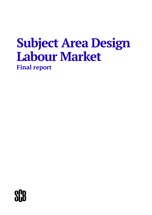# **Subject Area Design Labour Market Final report**

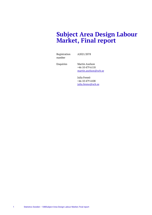# **Subject Area Design Labour Market, Final report**

Registration number

A2021/2078

Enquiries Martin Axelson +46 10 479 6118 [martin.axelson@scb.se](mailto:martin.axelson@scb.se)

> Julia Fennö +46 10 479 4108 [julia.fenno@scb.se](mailto:julia.fenno@scb.se)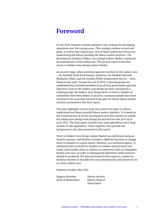# <span id="page-2-0"></span>**Foreword**

In late 2019, Statistics Sweden adopted a new strategy for developing operations over the coming years. This strategy contains several subgoals, as well as four endeavours. One of these endeavours focuses on modernising and future-proofing the labour market statistics. The development initiative Subject Area Design Labour Market constitutes an essential part of this endeavour. The present report is the final report on Subject Area Design Labour Market.

At an early stage, other statistical agencies involved in this subject area – the Swedish Work Environment Authority, the Swedish National Mediation Office, and the Swedish Public Employment Service – were linked to the work. Toward the end of 2019, a steering group was established that included members from all four government agencies. Operative work on the subject area design has been managed by a working group, the Subject Area Design desk, to which a number of committees have been linked. In practice, numerous people have been involved in the work that resulted in the plan for future labour market statistics presented in this final report.

This plan highlights several steps that need to be taken to achieve modernised and future-proofed labour market statistics. It is based on the overall picture of all the investigation activities carried out within the subject area design work during the period from late 2019 up to early 2021. The final report includes four main appendices and a large number of sub-appendices. Taken together, they provide the background to the plan presented in this report.

Work on Subject Area Design Labour Market was performed using an iterative process, and Statistics Sweden's objective has been to engage users of statistics to a great extent. However, as a statistical agency, it ultimately falls on Statistics Sweden to evaluate and prioritise user needs, and consider them in relation to constraints such as respondent burden and costs, in order to subsequently determine which statistics should be produced. The plan presented in this report is a means for Statistics Sweden to shoulder the task systematically and cohesively for an entire subject area.

Statistics Sweden, May 2021

Magnus Sjöström Head of Department Martin Axelson Deputy Head of Department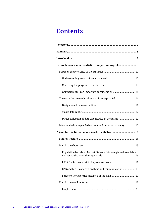# **Contents**

| Future labour market statistics - important aspects 9             |  |  |
|-------------------------------------------------------------------|--|--|
|                                                                   |  |  |
|                                                                   |  |  |
|                                                                   |  |  |
| Comparability is an important consideration  11                   |  |  |
| The statistics are modernised and future-proofed 11               |  |  |
|                                                                   |  |  |
|                                                                   |  |  |
| Direct collection of data also needed in the future  12           |  |  |
| More analysis - expanded content and improved capacity 13         |  |  |
| A plan for the future labour market statistics 14                 |  |  |
|                                                                   |  |  |
|                                                                   |  |  |
| Population by Labour Market Status - future register-based labour |  |  |
|                                                                   |  |  |
| BAS and LFS - coherent analysis and communication  18             |  |  |
|                                                                   |  |  |
|                                                                   |  |  |
|                                                                   |  |  |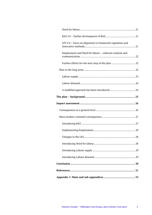| LFS 3.0 - focus on alignment to framework regulation and |  |
|----------------------------------------------------------|--|
| Employment and Need for labour - coherent analysis and   |  |
|                                                          |  |
|                                                          |  |
|                                                          |  |
|                                                          |  |
|                                                          |  |
|                                                          |  |
|                                                          |  |
|                                                          |  |
|                                                          |  |
|                                                          |  |
|                                                          |  |
|                                                          |  |
|                                                          |  |
|                                                          |  |
|                                                          |  |
|                                                          |  |
|                                                          |  |
|                                                          |  |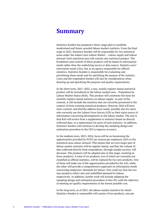# <span id="page-5-0"></span>**Summary**

Statistics Sweden has prepared a three-stage plan to establish modernised and future-proofed labour market statistics. From the final stage in 2025, Statistics Sweden will be responsible for two statistical areas under the subject area Labour Market – *Labour supply* and *Labour demand*. Each statistical area will contain one statistical product. The breakdown and content of these products will be based on information needs rather than the underlying survey or data source. *Statistics users' information needs* is key, but as an agency responsible for official statistics, Statistics Sweden is responsible for evaluating and prioritising these needs and for specifying the *purpose of the statistics*. Costs and the respondent burden will also be considerations when drawing up and specifying the purpose and quality requirements.

In the short term, 2021–2022, a new, mainly register-based statistical product will be introduced in the labour market area – Population by Labour Market Status (BAS). This product will constitute the basis for monthly register-based statistics on labour supply. As part of the content, it will include the statistics that are currently presented in the context of three existing statistical products. However, BAS will have more content, and thereby address more needs, possibly also for users who currently use the Labour Force Survey (LFS) as their main source of information concerning developments in the labour market. The aim is that BAS will evolve from a supplement to statistics based on directly collected data, to a replacement for parts of such statistics. In addition, Statistics Sweden will continue to develop the sampling design and estimation procedure in the LFS to improve accuracy.

In the medium term, 2023–2024, focus will be on harnessing the opportunities provided by PAYE tax returns per employee (AGI) in the statistical area *Labour demand*. This means that an even larger part of labour market statistics will be register-based, and that the volume of data collected directly from respondents, through sample surveys, will decrease. The products will be adapted also at this stage, resulting in fewer products. A total of six products, two of which are currently not classified as official statistics, will be replaced by two new products. One of these will make use of the opportunities provided by the AGI, while the other will provide a comprehensive approach on information needs concerning employers' demands for labour. One could say that the two new products reflect met and unfulfilled demand for labour, respectively. In addition, further work will include adapting the sampling design and estimation procedure in the LFS, with the objective of meeting set quality requirements at the lowest possible cost.

In the long term, as of 2025, the labour market statistics for which Statistics Sweden is responsible will consist of two products, one per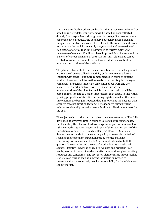statistical area. Both products are hybrids; that is, some statistics will be based on register data, while others will be based on data collected directly from respondents, through sample surveys. For broader, more comprehensive, products, the boundary between register-based and sample-based statistics becomes less relevant. This is a clear shift from today's statistics, which are mainly *sample-based with register-based elements*, to statistics that can be described as *register-based with sample-based elements*. Conditions have improved for coherence and coanalysis of various elements of the statistics, and value added can be created for users, for example in the form of additional content or improved descriptions of the statistics.

The plan involves a shift from the current situation, in which a product is often based on *one* collection activity or data source, to a future situation with fewer – but more comprehensive in terms of content – products based on the information needs to be met. Regular dialogue with users has been an important dimension of our work and the objective is to work iteratively with users also during the implementation of the plan. Future labour market statistics will be based on register data to a much larger extent than today. In line with a growing proportion of statistics becoming register-based, at the same time changes are being introduced that aim to reduce the need for data acquired through direct collection. The respondent burden will be reduced considerably, as well as costs for direct collection, not least for the LFS.

The objective is that the statistics, given the circumstances, will be fully developed at any given time in terms of use of existing register data. Implementing the plan will lead to changes in opportunities as well as risks. For both Statistics Sweden and users of the statistics, parts of this transition may be extensive and challenging. However, Statistics Sweden deems the shift to be necessary – in part to tackle the task of reducing the respondent burden, in part due to the challenge concerning non-response in the LFS, with implications for both the quality of the statistics and the cost of production. As a statistical agency, Statistics Sweden is obliged to evaluate and prioritise user needs, in order to determine which statistics to produce, given existing resources and constraints. The presented plan for future labour market statistics can thus be seen as a means for Statistics Sweden to systematically and cohesively take its responsibility for the subject area Labour Market.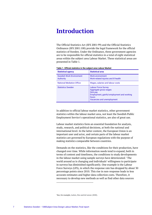# <span id="page-7-0"></span>**Introduction**

The Official Statistics Act (SFS 2001:99) and the Official Statistics Ordinance (SFS 2001:100) provide the legal framework for the official statistics of Sweden. Under the Ordinance, three government agencies are to be responsible for official statistics in a total of eight statistical areas within the subject area Labour Market. These statistical areas are presented in Table 1.

| Table 1. Official statistics in the subject area Labour Market |
|----------------------------------------------------------------|
|----------------------------------------------------------------|

| <b>Statistical agency</b>                    | <b>Statistical area</b>                                                                                                                              |
|----------------------------------------------|------------------------------------------------------------------------------------------------------------------------------------------------------|
| <b>Swedish Work Environment</b><br>Authority | <b>Work environment</b><br>Work-related injuries and ill health                                                                                      |
| <b>National Mediation Office</b>             | Wages, salaries and labour costs                                                                                                                     |
| <b>Statistics Sweden</b>                     | <b>Labour Force Survey</b><br>Aggregate gross wages<br>Sick pay<br>Employment, gainful employment and working<br>hours<br>Vacancies and unemployment |

In addition to official labour market statistics, other government statistics within the labour market area, not least the Swedish Public Employment Service's operational statistics, are also of great use.

Labour market statistics form an essential foundation for analysis, study, research, and political decisions, at both the national and international level. In the latter context, the European Union is an important user and actor, and certain parts of the labour market statistics are governed by European regulations with the purpose of making statistics comparable between countries.

Demands on the statistics, like the conditions for their production, have changed over time. While information needs tend to expand, both in terms of content and timeliness, the conditions to study developments in the labour market using sample surveys have deteriorated.<sup>[1](#page-7-1)</sup> The world around us is changing and individuals' willingness to participate in surveys has diminished significantly. One example is the Labour Force Surveys (LFS), in which the response rate has dropped by about 30 percentage points since 2010. This rise in non-response leads to less accurate estimates and higher data collection costs. Therefore, it necessary to develop new methods as well as find other data sources

<span id="page-7-1"></span>1 See, for example, Luiten, Hox and de Leeuw (2020).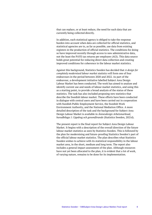that can replace, or at least reduce, the need for such data that are currently being collected directly.

In addition, each statistical agency is obliged to take the response burden into account when data are collected for official statistics, and statistical agencies are to, as far as possible, use data from existing registers in the production of official statistics. The conditions for doing so have improved recently through access to new administrative data, not the least the PAYE tax returns per employee (AGI). This data source holds great potential for reducing direct data collection and creating improved conditions for coherence in the labour market statistics.

Against this background, Statistics Sweden has decided that *A design for completely modernised labour market statistics* will form one of four endeavours in the period between 2020 and 2022. As part of the endeavour, a development initiative labelled Subject Area Design Labour Market has been conducted. The work has aimed to analyse and identify current use and needs of labour market statistics, and using this as a starting point, to provide a broad analysis of the status of these statistics. The task has also included proposing new statistics that describe the Swedish labour market. These efforts have been conducted in dialogue with central users and have been carried out in cooperation with Swedish Public Employment Service, the Swedish Work Environment Authority, and the National Mediation Office. A more detailed description of the task and the background for Subject Area Design Labour Market is available in *Ämnesdesign Arbetsmarknad, huvudbilaga 1: Uppdrag och genomförande* (Statistics Sweden, 2021d).

The present report is the final report for Subject Area Design Labour Market. It begins with a description of the overall direction of the future labour market statistics as seen by Statistics Sweden. This is followed by the plan for modernising and future-proofing Statistics Sweden's part of the official labour market statistics. The plan describes what Statistics Sweden wishes to achieve with its statistical responsibility in the labour market area, in the short, medium and long term. The report also includes a general impact assessment of the plan. Although resources have not yet been allocated to the plan, it is evident that a lot of work, of varying nature, remains to be done for its implementation.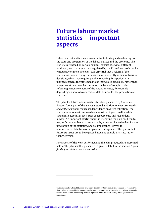# <span id="page-9-0"></span>**Future labour market statistics – important aspects**

Labour market statistics are essential for following and evaluating both the state and progression of the labour market and the economy. The statistics are based on various sources, consist of several different products<sup>[2](#page-9-1)</sup>, are to a large extent regulated by the EU and are produced by various government agencies. It is essential that a reform of the statistics is done in a way that ensures a consistently sufficient basis for decisions, which may require parallel reporting for a period. Any planned changes therefore need to be introduced gradually, rather than altogether at one time. Furthermore, the level of complexity in reforming various elements of the statistics varies, for example depending on access to alternative data sources for the production of statistics.

The plan for future labour market statistics presented by Statistics Sweden forms part of the agency's stated ambition to meet user needs and *at the same time* reduce its dependence on direct collection. The statistics are to meet user needs and must be of good quality, while taking into account aspects such as resource use and respondent burden. An important starting point in preparing the plan has been to use, as far as possible, existing – that is, already collected – data for the production of the statistics. Special importance is given to administrative data from other government agencies. The goal is that future statistics are to be register-based and sample-assisted, rather than vice versa.

Key aspects of the work performed and the plan produced are presented below. The plan itself is presented in greater detail in the section *A plan for the future labour market statistics*.

<span id="page-9-1"></span><sup>2</sup> In the system for Official Statistics of Sweden (the SOS system), a statistical product, or "product" for short, refers to an established concept used to describe which statistics are being produced. Normally, there is a one-to-one relationship between a product and a statistical survey, although there are exceptions.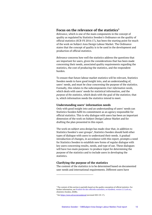# <span id="page-10-0"></span>**Focus on the relevance of the statistics[3](#page-10-3)**

*Relevance*, which is one of the main components in the concept of quality as regulated by Statistics Sweden's Ordinance on the quality of official statistics (SCB-FS 2016:17), has been the starting point for much of the work on Subject Area Design Labour Market. The Ordinance states that the concept of quality is to be used in the development and production of official statistics.

*Relevance* concerns how well the statistics address the questions that are important for users, given the considerations that has been made concerning their needs, associated quality requirements regarding the statistics, the cost of producing the statistics, and the respondent burden.

To ensure that future labour market statistics will be relevant, Statistics Sweden needs to have good insight into, and an understanding of, users' needs, and must be clear concerning the purpose of the statistics. Formally, this relates to the subcomponents *User information needs*, which deals with users' needs for statistical information, and the *purpose of the statistics*, which deals with the goal of the statistics; that is, which information needs the statistics intend to meet.

#### <span id="page-10-1"></span>**Understanding users' information needs**

Only with good insight into and an understanding of users' needs can Statistics Sweden fulfil its commitment as an agency responsible for official statistics. This is why dialogue with users has been an important dimension of the work on Subject Design Labour Market and for drafting the plan presented in this report.

The work on subject area design has made clear that, in addition to Statistics Sweden's user groups<sup>[4](#page-10-4)</sup>, Statistics Sweden should hold other types of dialogue with users to understand their needs. A gradual introduction of changes, in accordance with this report, prompts a need for Statistics Sweden to establish new forms of regular dialogue with key users concerning results, needs, and type of use. These dialogues will have two main purposes: to produce input for determining the purpose of the statistics and to include users in developing the statistics.

#### <span id="page-10-2"></span>**Clarifying the purpose of the statistics**

The content of the statistics is to be determined based on documented user needs and international requirements. Different users have

<span id="page-10-3"></span><sup>&</sup>lt;sup>3</sup> The content of this section is partially based on the quality conception of official statistics. For further information, see [Kvalitet för den officiella statistiken, en handbok, version 2:2 \(scb.se\),](https://www.scb.se/contentassets/4e625b9324b54e7fa5c4db77cedb7ebc/ov9999_2020a01_br_x99br2001.pdf) (Statistics Sweden, 2020b).

<span id="page-10-4"></span><sup>4</sup> Se[e https://www.scb.se/anvandarrad](https://www.scb.se/anvandarrad) (accessed 2021-05-17).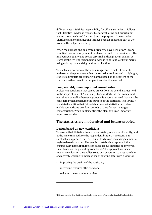different needs. With its responsibility for official statistics, it follows that Statistics Sweden is responsible for evaluating and prioritising among those needs and for specifying the purpose of the statistics. Clarifying and communicating this has been an important part of the work on the subject area design.

When the purpose and quality requirements have been drawn up and specified, costs and respondent burden also need to be considered. The link between quality and cost is essential, although it can seldom be stated explicitly. The respondent burden is to be kept low by primarily using existing data and digital direct collection.

To enable an overview of the whole range, and to make it easier to understand the phenomena that the statistics are intended to highlight, statistical products are primarily named based on the content of the statistics, rather than, for example, the collection method.

#### <span id="page-11-0"></span>**Comparability is an important consideration**

A clear-cut conclusion that can be drawn from the user dialogues held in the scope of Subject Area Design Labour Market is that comparability over time – as well as between groups – is a core user need that must be considered when specifying the purpose of the statistics. This is why it is a stated ambition that future labour market statistics must also enable comparisons over long periods of time for central target characteristics. When implementing the plan, this is an important aspect to consider.

# <span id="page-11-1"></span>**The statistics are modernised and future-proofed**

#### <span id="page-11-2"></span>**Design based on new conditions**

To ensure that Statistics Sweden uses existing resources efficiently, and at the same time reduces the respondent burden, it is essential to establish an approach that, over time, leads to an increasing element of register-based statistics. The goal is to establish an approach that ensures **fully developed** register-based labour statistics at any given time, based on the prevailing conditions. This approach includes regularly evaluating the applied solutions, according to a set schedule, and actively working to increase use of existing data<sup>[5](#page-11-3)</sup> with a view to:

- improving the quality of the statistics;
- increasing resource efficiency; and
- reducing the respondent burden.

<span id="page-11-3"></span><sup>5</sup> This also includes data that is *not* used today in the scope of the production of official statistics.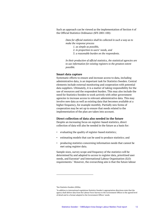Such an approach can be viewed as the implementation of Section 4 of the Official Statistics Ordinance (SFS 2001:100):

> *Data for official statistics shall be collected in such a way as to make the response process*

- *1. as simple as possible,*
- *2. in proportion to users' needs, and*
- *3. a reasonable burden on the respondents.*

*In their production of official statistics, the statistical agencies are to use information for existing registers to the greatest extent possible.*

#### <span id="page-12-0"></span>**Smart data capture**

Systematic efforts to ensure and increase access to data, including administrative data, is an important task for Statistics Sweden. Central elements include external monitoring and cooperation with potential data suppliers. Ultimately, it is a matter of taking responsibility for the use of resources and the respondent burden. This may also include the need for Statistics Sweden to work actively with other government agencies to increase access to relevant administrative data. This may involve new data as well as existing data that becomes available at a higher frequency, for example monthly. Partially new forms of cooperation may be set up to ensure that needs related to the implementation of the plan are taken into account.

#### <span id="page-12-1"></span>**Direct collection of data also needed in the future**

Despite an increasing focus on register-based statistics, direct collection of data will also be needed in the future as a basis for:

- evaluating the quality of register-based statistics;
- estimating models that can be used to produce statistics; and
- producing statistics concerning information needs that cannot be met using register data.

Sample sizes, survey scope and frequency of the statistics will be determined by and adapted to access to register data, prioritised user needs, and Eurostat<sup>[6](#page-12-2)</sup> and International Labour Organisation (ILO) requirements.[7](#page-12-3) However, the overarching aim is that the future labour

<sup>6</sup> See Statistics Sweden (2020a).

<span id="page-12-3"></span><span id="page-12-2"></span><sup>&</sup>lt;sup>7</sup>In addition to international regulations Statistics Sweden's appropriation directions state that the agency shall deliver data from the Labour Force Surveys to the Government Offices to the agreed level of detail and in a format adapted to the Government Offices' needs.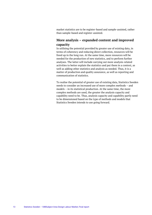market statistics are to be register-based and sample-assisted, rather than sample-based and register-assisted.

# <span id="page-13-0"></span>**More analysis – expanded content and improved capacity**

In utilising the potential provided by greater use of existing data, in terms of coherency and reducing direct collection, resources will be freed up in the long run. At the same time, more resources will be needed for the production of new statistics, and to perform further analyses. The latter will include carrying out more analysis-related activities to better explain the statistics and put them in a context, as well as adding other statistics and analysis as needed. Thus, it is a matter of production and quality assurance, as well as reporting and communication of statistics.

To realise the potential of greater use of existing data, Statistics Sweden needs to consider an increased use of more complex methods – and models – in its statistical production. At the same time, the more complex methods are used, the greater the analysis capacity and capability need to be. Thus, analysis capacity and capability partly need to be dimensioned based on the type of methods and models that Statistics Sweden intends to use going forward.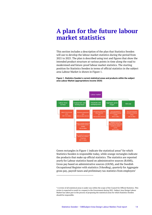# <span id="page-14-0"></span>**A plan for the future labour market statistics**

This section includes a description of the plan that Statistics Sweden will use to develop the labour market statistics during the period from 2021 to 2025. The plan is described using text and figures that show the intended product structure at various points in time along the road to modernised and future-proof labour market statistics. The starting position for Statistics Sweden in terms of official statistics in the subject area Labour Market is shown in Figure 1.

**Figure 1. Statistics Sweden's current statistical areas and products within the subject area Labour Market (appropriations income 2020)**



Green rectangles in Figure 1 indicate the statistical areas<sup>[8](#page-14-1)</sup> for which Statistics Sweden is responsible today, while orange rectangles indicate the products that make up official statistics. The statistics are reported *yearly* for Labour statistics based on administrative sources (RAMS), Gross pay based on administrative sources (LSUM), and the Swedish Occupational Register with statistics (YrkesReg), *quarterly* for Aggregate gross pay, payroll taxes and preliminary tax statistics from employers'

<span id="page-14-1"></span><sup>8</sup> A review of all statistical areas is under way within the scope of the Council for Official Statistics. This review is expected to result in a request to the Government during 2021. Subject Area Design Labour Market has taken part in the process of proposing the statistical areas for which Statistics Sweden should be responsible.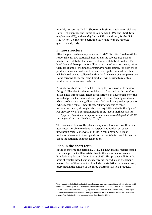monthly tax returns (LAPS), Short-term business statistics on sick pay (KSju), Job openings and unmet labour demand (KV), and Short-term employment (KS), and *monthly* for the LFS. In addition, for the LFS, statistics on the reference periods' quarter and year are reported quarterly and yearly.

#### <span id="page-15-0"></span>**Future structure**

After the plan has been implemented, in 2025 Statistics Sweden will be responsible for two statistical areas under the subject area Labour Market. Each statistical area will contain one statistical product. The breakdown of these products will be based on information needs, rather than, for example, the underlying survey or data source. For both these products, some estimates will be based on register data, while others will be based on data collected within the framework of a sample survey. Going forward, the term "hybrid product" will be used to refer to a product with these characteristics.

A number of steps need to be taken along the way in order to achieve this goal. The plan for the future labour market statistics is therefore divided into three stages. These are illustrated by figures that show the intended product structure at every point in time. Each figure shows which products are new (yellow rectangles), and how previous products (white rectangles) fall under these. All products aim to meet information needs, although this is not explicitly stated in the figures<sup>[9](#page-15-2)</sup>. For an overview of information needs in the labour market statistics, see Appendix 3 in *Ämnesdesign Arbetsmarknad, huvudbilaga 4: FURBAS*  slutrapport (Statistics Sweden, 2021g)<sup>10</sup>.

The various sections of the plan are explained based on how they meet user needs, are able to reduce the respondent burden, or reduce production costs<sup>[11](#page-15-4)</sup>, or several of these in combination. The plan includes references to the appendices that contain further information about the rationale behind each section.

### <span id="page-15-1"></span>**Plan in the short term**

In the short term, the period 2021–2022, a new, mainly register-based statistical product will be established in the labour market area – Population by Labour Market Status (BAS). This product will form the basis of register-based statistics regarding individuals in the labour market. Part of the content will include the statistics that are currently presented in the context of the three existing statistical products.

<span id="page-15-2"></span><sup>9</sup> For products included in the plan in the medium and long term, part of the work going forward will consist of evaluating and prioritising needs in detail to determine the purpose of the statistics.

<sup>10</sup> FURBAS addresses the question *Fully register-based labour market statistics – how far can you go?*

<span id="page-15-4"></span><span id="page-15-3"></span><sup>&</sup>lt;sup>11</sup> Productivity in Statistics Sweden's appropriation activities is to increase by at least 3 percent on average (see Statistics Sweden's appropriation directions for 2021).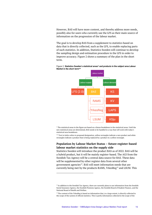However, BAS will have more content, and thereby address more needs, possibly also for users who currently use the LFS as their main source of information on the progression of the labour market.

The goal is to develop BAS from a supplement to statistics based on data that is directly collected, such as the LFS, to enable replacing parts of such statistics. In addition, Statistics Sweden will continue to develop the sampling design and estimation procedure in the LFS in order to improve accuracy. Figure 2 shows a summary of the plan in the short term.



Figure 2. **Statistics Sweden's statistical areas\* and products in the subject area Labour Market in the short-term\*\***

\* The statistical areas in the figure are based on a future breakdown in the statistical areas. Until the new statistical areas are determined, BAS needs to be handled in a way that will work with today's statistical area breakdown.

\*\* Text in italics refers to proposed designation, yellow rectangles indicate a new product and white rectangles indicate a product that is being replaced by a product in a yellow rectangle.

### <span id="page-16-0"></span>**Population by Labour Market Status – future register-based labour market statistics on the supply side**

Statistics Sweden will introduce the product BAS as of 2022. BAS will be a hybrid product, but it will be mainly register-based. The AGI from the Swedish Tax Agency will be a central data source for BAS. These data will be supplemented by other register data from several other government agencies<sup>12</sup>. BAS will meet information needs that are currently being met by the products RAMS, YrkesReg<sup>[13](#page-16-2)</sup> and LSUM. This

<span id="page-16-1"></span><sup>&</sup>lt;sup>12</sup> In addition to the Swedish Tax Agency, there are currently plans to use information from the Swedish Social Insurance Agency, the Swedish Pensions Agency, the Swedish Board of Student Finance, and the National Board of Health and Welfare.

<span id="page-16-2"></span><sup>&</sup>lt;sup>13</sup> The content of the YrkesReg is based on information that, to a large extent, is directly collected in the scope of the system of official statistics. This is partly information collected in the scope of the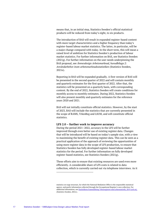means that, in an initial step, Statistics Sweden's official statistical products will be reduced from today's eight, to six products.

The introduction of BAS will result in expanded register-based content with more target characteristics and a higher frequency than today's register-based labour market statistics. The latter, in particular, will be a major change compared with today. In the short term, this will mean a raised level of ambition for Statistics Sweden's production of labour market statistics. For further information on BAS, see Statistics Sweden (2021g). For further information on the user needs underpinning the BAS proposal, see *Ämnesdesign Arbetsmarknad, huvudbilaga 2: Användarbehov inom arbetsmarknadsstatistiken* (Statistics Sweden, 2021e).

Reporting in BAS will be expanded gradually. A first version of BAS will be presented in the second quarter of 2022 and will contain monthly and quarterly estimates for the first quarter of 2022. After that, the statistics will be presented on a quarterly basis, with corresponding content. By the end of 2022, Statistics Sweden will create conditions for monthly access to monthly estimates. During 2022, Statistics Sweden will also present monthly and quarterly estimates for the reference years 2020 and 2021.

BAS will not initially constitute official statistics. However, by the start of 2023, BAS will include the statistics that are currently presented in the scope of RAMS, YrkesReg and LSUM, and will constitute official statistics.

#### <span id="page-17-0"></span>**LFS 2.0 – further work to improve accuracy**

During the period 2021–2022, accuracy in the LFS will be further improved through even better use of existing register data. Changes that will be introduced will be based on today's sample size, with a view to maximising the benefit of existing register data. This can be seen as a practical application of the approach of reviewing the opportunities of using more register data in the scope of LFS production, to ensure that Statistics Sweden has fully developed register-based labour market statistics for the period. For further information on fully developed register-based statistics, see Statistics Sweden (2021g).

These efforts aim to ensure that existing resources are used even more efficiently. A considerable share of LFS costs is related to data collection, which is currently carried out via telephone interviews. As it

statistics on wage structure, for which the National Mediation Office is the responsible statistical agency, and partly information collected through the Occupational Register's own collection. For additional information, se[e Statistikens framställning Yrkesregistret med yrkesstatistik, 2019 \(scb.se\),](https://www.scb.se/contentassets/ba5b9a35c5e54a13bc711de91af92828/am0208_staf_2019_le_210304.pdf#page=5&zoom=100,166,146) (Statistics Sweden, 2021c).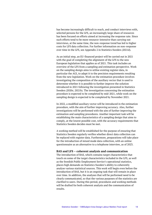has become increasingly difficult to reach, and conduct interviews with, selected persons for the LFS, an increasingly large share of resources has been focused on efforts aimed at increasing the response rate. Since such efforts tend to be more resource-intensive than carrying out interviews, at the same time, the non-response trend has led to higher costs for LFS data collection. For further information on non-response over time in the LFS, see Appendix 2 in Statistics Sweden (2021d).

As an initial step, an EU-financed project will be carried out in 2021 with the goal of completing the alignment of the LFS to the new European legislation that applies as of 2021. This task includes an overview of the LFS from a sampling and estimation perspective. Work on the sampling design aims to utilise existing register data, in particular the AGI, to adapt it to the precision requirements resulting from the new legislation. Work on the estimation procedure involves investigating the composition of the auxiliary vector that is used to determine whether it is possible to further improve the solution introduced in 2021 following the investigation presented in Statistics Sweden (2020c; 2021b). The investigation concerning the estimation procedure is expected to be completed by mid-2021, while work on the sampling design is expected to be completed by November 2021.

In 2022, a modified auxiliary vector will be introduced in the estimation procedure, with the aim of further improving accuracy. Also, further investigations will be performed with the aim of further improving the estimation and sampling procedures. Another important task will be establishing the main characteristics of a sampling design that aims to comply, at the lowest possible cost, with the accuracy requirements that Statistics Sweden decides must be met.

A working method will be established for the purpose of ensuring that Statistics Sweden regularly verifies whether direct data collection can be replaced with register data. Furthermore, preparations will take place for the introduction of mixed mode data collection, with an online questionnaire as an alternative to a telephone interview, as of 2023.

#### <span id="page-18-0"></span>**BAS and LFS – coherent analysis and communication**

The introduction of BAS, which contains target characteristics that touch on some of the target characteristics included in the LFS, as well as the Swedish Public Employment Service's operational statistics, places high demands on Statistics Sweden's ability to coherently analyse various statistical sources. This work will begin even before the introduction of BAS, but it is an ongoing task that will remain in place over time. In addition, the analyses that will be performed need to be clearly communicated, so that the various purposes of the statistics are clarified to users. During this period, procedures and working methods will be drafted for both coherent analysis and the communication of results.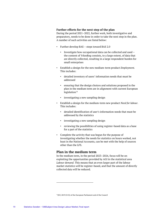### <span id="page-19-0"></span>**Further efforts for the next step of the plan**

During the period 2021–2022, further work, both investigative and preparatory, needs to be done in order to take the next step in the plan. A number of such activities are listed below:

- Further develop BAS steps toward BAS 2.0
	- Investigate how occupational data can be collected and used the content of YrkesReg consists, to a large extent, of data that are directly collected, resulting in a large respondent burden for small enterprises
- Establish a design for the new medium-term product *Employment*. This includes:
	- detailed inventory of users' information needs that must be addressed
	- ensuring that the design choices and solutions proposed in the plan in the medium term are in alignment with current European legislation $14$
	- investigating a new sampling design
- Establish a design for the medium-term new product *Need for labour*. This includes:
	- detailed identification of user's information needs that must be addressed by the statistics
	- investigating a new sampling design
	- reviewing the possibilities of using register-based data as a base for a part of the statistics
- Complete the activity that was begun for the purpose of investigating whether the needs for statistics on hours worked, not least in the National Accounts, can be met with the help of sources other than the LFS.

# <span id="page-19-1"></span>**Plan in the medium term**

In the medium term, in the period 2023–2024, focus will be on exploiting the opportunities provided by AGI in the statistical area *Labour demand*. This means that an even larger part of the labour market statistics will be register-based, and that the amount of directly collected data will be reduced.

<span id="page-19-2"></span><sup>14(</sup>EU) 2019/2152) of the European Parliament and of the Council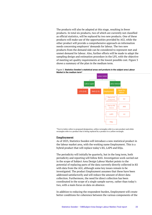The products will also be adapted at this stage, resulting in fewer products. In total six products, two of which are currently not classified as official statistics, will be replaced by two new products. One of these products will make use of the opportunities provided by AGI, while the other product will provide a comprehensive approach on information needs concerning employers' demands for labour. The two new products from the demand side can be considered to represent met and unmet demand for labour. Also, further efforts will be made to adapt the sampling design and estimation procedure in the LFS, with the objective of meeting set quality requirements at the lowest possible cost. Figure 3 shows a summary of the plan in the medium term.



Figure 3. **Statistics Sweden's statistical areas and products in the subject area Labour Market in the medium term\***

\*Text in italics refers to proposed designation, yellow rectangles refer to a new product and white rectangles refer to a product that is being replaced by a product in a yellow rectangle.

#### <span id="page-20-0"></span>**Employment**

As of 2023, Statistics Sweden will introduce a new statistical product in the labour market area, with the working name Employment. This is a hybrid product that will replace today's KS, LAPS and KSju.

The periodicity will initially be quarterly, but in the long term, both periodicity and reporting will follow BAS. Investigation work carried out in the scope of Subject Area Design Labour Market points to the potential of replacing parts of the data currently directly collected in KS with data from the AGI, although some key issues remain to be investigated. The product Employment assumes that these have been addressed satisfactorily and will reduce the amount of direct data collection. Furthermore, the need for direct collection has been coordinated in the scope of a single sample survey, rather than today's two, with a main focus on data on absence.

In addition to reducing the respondent burden, Employment will create better conditions for coherence between the various components of the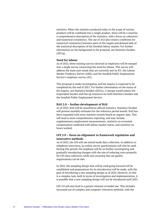statistics. When the statistics produced today in the scope of various products will be combined into a single product, there will be a need for a comprehensive description of the statistics, with a focus on coherence and numerical consistency. The use of AGI also creates conditions for numerical consistency between parts of the supply and demand side of the statistical description of the Swedish labour market. For further information on the background to the proposal, see Statistics Sweden (2021g).

#### <span id="page-21-0"></span>**Need for labour**

As of 2023, three existing surveys directed at employers will be merged into a single survey concerning the need for labour. This survey will address the main user needs that are currently met by KV, the Labour Market Tendency Survey (AKB), and the Swedish Public Employment Service's employer survey (AU).

This proposal is under investigation and the inquiry is expected to be completed by the end of 2021. For further information on the status of the inquiry, see Statistics Sweden (2021a). A merger would reduce the respondent burden and free up resources for both Statistics Sweden and the Swedish Public Employment Service.

#### <span id="page-21-1"></span>**BAS 2.0 – further development of BAS**

As of 2023, BAS will be classified as official statistics. Statistics Sweden will present monthly estimates for the reference period month. BAS has been expanded with more statistics mainly based on register data. This will lead to more comprehensive reporting, and may include supplementary employment measurements, statistics on economic compensation combined with labour market status, and statistics on hours worked.

### <span id="page-21-2"></span>**LFS 3.0 – focus on alignment to framework regulation and innovative methods**

As of 2023, the LFS will use mixed mode data collection. In addition to telephone interviews, an online survey questionnaire will also be used. During this period, the emphasis will be on further investigating and gradually introducing changes with the aim of reducing costs primarily for LFS data collection, while also ensuring that set quality requirements can be met.

In 2023, the sampling design that will be used going forward will be established and preparations for its introduction will be made, with the goal of introducing a new sampling design as of 2024. However, as this is a complex task, both in terms of investigation and implementation, it is possible that a new sampling design will not be introduced until 2025.

LFS 3.0 will also lead to a greater element of model use. This includes increased use of complex and computer-intensive methods, with the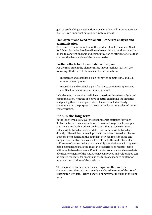goal of establishing an estimation procedure that will improve accuracy. BAS 2.0 is an important data source in this context.

### <span id="page-22-0"></span>**Employment and Need for labour – coherent analysis and communication**

As a result of the introduction of the products Employment and Need for labour, Statistics Sweden will need to continue to work on questions linked to coherent analysis and communication of official statistics that concern the demand side of the labour market.

#### <span id="page-22-1"></span>**Further efforts for the next step of the plan**

For the final step in the plan for future labour market statistics, the following efforts need to be made in the medium term:

- Investigate and establish a plan for how to combine BAS and LFS into a common product
- Investigate and establish a plan for how to combine Employment and Need for labour into a common product

In both cases, the emphasis will be on questions linked to analysis and communication, with the objective of better explaining the statistics and placing them in a larger context. This also includes clearly communicating the purpose of the statistics for various selected target characteristics.

### <span id="page-22-2"></span>**Plan in the long term**

In the long term, as of 2025, the labour market statistics for which Statistics Sweden is responsible will consist of two products, one per statistical area. Both products are hybrids; that is, some statistical values will be based on register data, while others will be based on directly collected data. As each product comprises internally coherent and consistent statistics, the boundary between register-based and sample-based statistics becomes less relevant. This indicates a clear shift from today's statistics that are mainly sample-based with registerbased elements, to statistics that can be described as register-based with sample-based elements. Conditions for coherence and co-analysis of various elements of the statistics have improved and value added can be created for users, for example in the form of expanded content or improved descriptions of the statistics.

The respondent burden has decreased significantly. Given the circumstances, the statistics are fully developed in terms of the use of existing register data. Figure 4 shows a summary of the plan in the long term.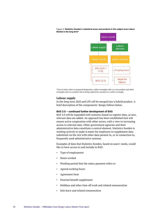

Figure 4. **Statistics Sweden's statistical areas and products in the subject area Labour Market in the long term\***

\*Text in italics refers to proposed designation, yellow rectangles refer to a new product and white rectangles refer to a product that is being replaced by a product in a yellow rectangle.

#### <span id="page-23-0"></span>**Labour supply**

In the long term, BAS and LFS will be merged into a hybrid product. A brief description of the components' design follows below.

#### **BAS 3.0 – continued further development of BAS**

BAS 3.0 will be expanded with statistics based on register data, as new, relevant data are added. An approach has been established that will ensure active cooperation with other actors, with a view to increasing access to relevant data. Other government agencies and their administrative data constitute a central element. Statistics Sweden is working actively to make it easier for employers to supplement data submitted via the AGI with other data present in, or in connection to, frequently used administrative systems.

Examples of data that Statistics Sweden, based on users' needs, would like to have access to and include in BAS:

- Type of employment
- Hours worked
- Working period that the salary payment refers to
- Agreed working hours
- Agreement form
- Parental benefit supplement
- Holidays and other time off work and related remuneration
- Sick leave and related remuneration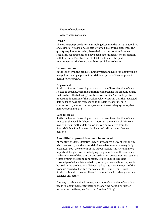- Extent of employment
- Agreed wages or salary

#### **LFS 4.0**

The estimation procedure and sampling design in the LFS is adapted to, and essentially based on, explicitly worded quality requirements. The quality requirements mainly have their starting point in European regulatory requirements and have been determined after consultation with key users. The objective of LFS 4.0 is to meet the quality requirements at the lowest possible cost of data collection.

#### <span id="page-24-0"></span>**Labour demand**

In the long term, the products Employment and Need for labour will be merged into a single product. A brief description of the component design follows below.

#### **Employment**

Statistics Sweden is working actively to streamline collection of data related to absence, with the ambition of increasing the amount of data that can be collected using "machine-to-machine" technology. An important dimension of this work involves ensuring that the requested data as far as possible correspond to the data present in, or in connection to, administrative systems, not least salary systems, that many respondents use.

#### **Need for labour**

Statistics Sweden is working actively to streamline collection of data related to the need for labour. An important dimension of this work involves ensuring that data on job ads can be collected from the Swedish Public Employment Service's and utilised when deemed possible.

#### <span id="page-24-1"></span>**A modified approach has been introduced**

At the start of 2025, Statistics Sweden introduces a way of working in which access to, and the potential of, new data sources are regularly evaluated. Both the content of the labour market statistics and more important design choices underlying the production of the statistics, such as choices of data sources and estimation procedures, are regularly tested against prevailing conditions. This presumes excellent knowledge of which data are held by other parties and how they could be used in the production of labour market statistics. Elements of this work are carried out within the scope of the Council for Official Statistics, but also involve bilateral cooperation with other government agencies and actors.

One way to achieve this is to use, even more clearly, the information needs in labour market statistics as the starting point. For further information on these, see Statistics Sweden (2021g).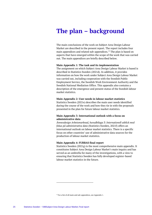# <span id="page-25-0"></span>**The plan – background**

The main conclusions of the work on Subject Area Design Labour Market are described in the present report. The report includes four main appendices and related sub-appendices.<sup>[15](#page-25-1)</sup> The plan is based on aspects that have emerged within the scope of the work that was carried out. The main appendices are briefly described below.

#### **Main Appendix 1: The task and its implementation**

The assignment on which Subject Area Design Labour Market is based is described in Statistics Sweden (2021d). In addition, it provides information on how the work under Subject Area Design Labour Market was carried out, including cooperation with the Swedish Public Employment Service, the Swedish Work Environment Authority and the Swedish National Mediation Office. This appendix also contains a description of the emergence and present status of the Swedish labour market statistics.

#### **Main Appendix 2: User needs in labour market statistics**

Statistics Sweden (2021e) describes the main user needs identified during the course of the work and how they tie in with the proposals presented in the plan for future labour market statistics.

#### **Main Appendix 3: International outlook with a focus on administrative data**

*Ämnesdesign Arbetsmarknad, huvudbilaga 3: Internationell utblick med fokus på administrativa data* (Statistics Sweden, 2021f) offers an international outlook on labour market statistics. There is a specific focus on other countries' use of administrative data sources for the production of labour market statistics.

#### **Main Appendix 4: FURBAS final report**

Statistics Sweden (2021g) is the most comprehensive main appendix. It constitutes Subject Area Design Labour Market's main inquiry and has served as an umbrella for many of the investigations, with a view to ensuring that Statistics Sweden has fully developed register-based labour market statistics in the future.

<span id="page-25-1"></span><sup>&</sup>lt;sup>15</sup> For a list of all main and sub-appendices, see Appendix 1.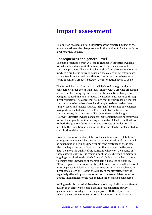# <span id="page-26-0"></span>**Impact assessment**

This section provides a brief description of the expected impact of the implementation of the plan presented in the section *A plan for the future labour market statistics*.

### <span id="page-26-1"></span>**Consequences at a general level**

The plan presented herein will lead to changes in Statistics Sweden's formal statistical responsibility in terms of statistical areas and statistical products. The plan involves a shift from the current situation, in which a product is typically based on *one* collection activity or data source, to a future situation with fewer, but more comprehensive in terms of content, products based on the information needs to be met.

The future labour market statistics will be based on register data to a considerably larger extent than today. In line with a growing proportion of statistics becoming register-based, at the same time changes are being introduced that aim to reduce the need for data acquired through direct collection. The overarching aim is that the future labour market statistics are to be register-based and sample-assisted, rather than sample-based and register-assisted. This shift means not only changes in opportunities, but also in risk. For both Statistics Sweden and statistics users, the transition will be extensive and challenging. However, Statistics Sweden considers this transition to be necessary due to the challenges linked to non-response in the LFS, with implications for both the quality of the statistics and the costs of production. To facilitate the transition, it is important that the plan be implemented in consultation with users.

Greater reliance on existing data, not least administrative data from other government agencies, means that the production of statistics will be dependent on decisions underpinning the existence of these data. Also, the larger the part of the statistics that are based on the same data, the more the quality of the statistics will rely on the quality of these data. This is why it is essential for Statistics Sweden to maintain ongoing consultation with the holders of administrative data, in order to ensure early knowledge of changes being discussed or planned. Although greater reliance on existing data is not entirely without risk, it must be placed in relation to today's situation, with heavy reliance on direct data collection. Beyond the quality of the statistics, which is negatively affected by non-response, both the costs of data collection and the implications for the respondent burden must be considered.

Adding to this is that administrative microdata typically has a different quality than directly collected data. In direct collection, survey questionnaires are adapted for the purpose, with the objective of reducing measurement uncertainty, while administrative data are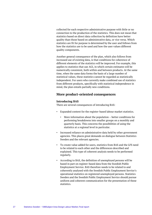collected for each respective administrative purpose with little or no connection to the production of the statistics. This does not mean that statistics based on direct data collection by definition have better quality than those based on administrative data, or vice versa. Which statistics are fit for purpose is determined by the user and follows from how the statistics are to be used and how the user values different quality components.

Another general consequence of the plan, which also follows from increased use of existing data, is that conditions for coherence of different elements of the statistics will be improved. For example, this applies to statistics that use AGI, in which certain estimates will be numerically consistent, both within and between products. At the same time, when the same data forms the basis of a large number of statistical values, these statistics cannot be regarded as statistically independent. For users who currently make combined use of statistics from different products, specifically with statistical independence in mind, the plan entails partially new conditions.

# <span id="page-27-1"></span><span id="page-27-0"></span>**More product-oriented consequences**

### **Introducing BAS**

There are several consequences of introducing BAS:

- Expanded content for the register-based labour market statistics.
	- More information about the population better conditions for performing breakdowns into smaller groups on a monthly and quarterly basis. This concerns the possibilities of using the statistics at a regional level in particular.
- Increased reliance on administrative data held by other government agencies. This places great demands on dialogue between Statistics Sweden and the relevant agencies.
- To create value added for users, statistics from BAS and the LFS need to be related to each other and the differences described and explained. This type of coherent analysis needs to be performed regularly.
- According to BAS, the definition of unemployed persons will be based in part on register-based data from the Swedish Public Employment Service. BAS therefore needs to be related to and coherently analysed with the Swedish Public Employment Service's operational statistics on registered unemployed persons. Statistics Sweden and the Swedish Public Employment Service should pursue uniform and coherent communication for the presentation of these statistics.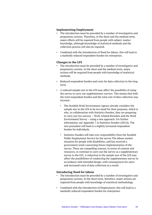### <span id="page-28-0"></span>**Implementing Employment**

- The introduction must be preceded by a number of investigative and preparatory actions. Therefore, in the short and the medium term, major efforts will be required from people with subject-matter knowledge, although knowledge of statistical methods and the collection process will also be required.
- Combined with the introduction of Need for labour, this will lead to a markedly reduced respondent burden for enterprises.

### <span id="page-28-1"></span>**Changes in the LFS**

- The introduction must be preceded by a number of investigative and preparatory actions. In the short and the medium term, major actions will be required from people with knowledge of statistical methods.
- Reduced respondent burden and costs for data collection in the long term.
- A reduced sample size in the LFS may affect the possibility of using the survey to carry out supplementary surveys. This means that both the total respondent burden and the total cost of data collection *may* increase.
	- The Swedish Work Environment Agency already considers the sample size in the LFS to be too small for their purposes, which is why, in collaboration with Statistics Sweden, they are preparing to carry out two surveys – Work-related disorders and the Work Environment Survey – using a new approach. For further information, see Appendix 7 in Statistics Sweden (2021d). The new procedure will lead to a slightly increased respondent burden for individuals.
	- Statistics Sweden will take over responsibility from the Swedish Public Employment Service for the survey The labour market situation for people with disabilities, and has received a government remit concerning future implementation of the survey. There are compelling reasons, in terms of content and resources, to continue to carry out the survey as a supplementary survey to the LFS. A reduction in the sample size of the LFS may affect the possibilities of conducting the supplementary survey in accordance with intended design, with consequences for users and increased costs of data collection as a result.

#### <span id="page-28-2"></span>**Introducing Need for labour**

- The introduction must be preceded by a number of investigative and preparatory actions. In the short term, therefore, major actions are required from people with knowledge of statistical methodology.
- Combined with the introduction of Employment, this will lead to a markedly reduced respondent burden for enterprises.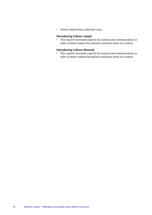• Clearly reduced data collection costs.

### <span id="page-29-0"></span>**Introducing Labour supply**

• This requires increased capacity for analysis and communication, in order to better explain the statistics and place them in a context.

### <span id="page-29-1"></span>**Introducing Labour demand**

• This requires increased capacity for analysis and communication, in order to better explain the statistics and place them in a context.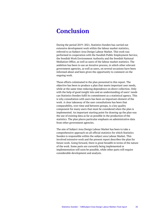# <span id="page-30-0"></span>**Conclusion**

During the period 2019–2021, Statistics Sweden has carried out extensive development work within the labour market statistics, referred to as Subject Area Design Labour Market. This work was performed in cooperation with the Swedish Public Employment Service, the Swedish Work Environment Authority and the Swedish National Mediation Office, as well as users of the labour market statistics. The ambition has been to use an iterative process, in which other relevant government agencies, as well as users, on several occasions have been informed about and been given the opportunity to comment on the ongoing work.

These efforts culminated in the plan presented in this report. The objective has been to produce a plan that meets important user needs, while at the same time reducing dependence on direct collection. Only with the help of good insight into and an understanding of users' needs can Statistics Sweden fulfil its commitment as a statistical agency. This is why consultation with users has been an important element of the work. A clear takeaway of the user consultations has been that comparability, over time and between groups, is a key quality component for many users that must be considered when the plan is implemented. An important starting point for drawing up the plan was the use of existing data as far as possible in the production of the statistics. The plan places particular emphasis on administrative data from other government agencies.

The aim of Subject Area Design Labour Market has been to take a comprehensive approach on all official statistics for which Statistics Sweden is responsible within the subject area Labour Market. This involved extensive work and the present report describes the plan for future work. Going forward, there is great breadth in terms of the nature of the work. Some parts are currently being implemented or implementation will soon be possible, while other parts will require considerable development and analysis.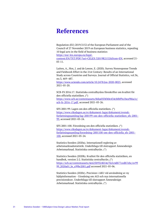# <span id="page-31-0"></span>**References**

Regulation (EU) 2019/2152 of the European Parliament and of the Council of 27 November 2019 on European business statistics, repealing 10 legal acts in the field of business statistics [https://eur-lex.europa.eu/legal](https://eur-lex.europa.eu/legal-content/EN/TXT/PDF/?uri=CELEX:32019R2152&from=EN)[content/EN/TXT/PDF/?uri=CELEX:32019R2152&from=EN,](https://eur-lex.europa.eu/legal-content/EN/TXT/PDF/?uri=CELEX:32019R2152&from=EN) accessed 21- 05-11.

Luiten, A., Hox, J. and de Leeuw, E. (2020). Survey Nonresponse Trends and Fieldwork Effort in the 21st Century: Results of an International Study across Countries and Surveys. Journal of Official Statistics, vol.36, no.3, 469–487.

[https://www.sciendo.com/article/10.2478/jos-2020-0025,](https://www.sciendo.com/article/10.2478/jos-2020-0025) accessed 2021-05-20.

SCB-FS 2016:17. Statistiska centralbyråns föreskrifter om kvalitet för den officiella statistiken. (\*) [https://www.scb.se/contentassets/86ba05f4f40e434cb0bf9a1bea986a1c/](https://www.scb.se/contentassets/86ba05f4f40e434cb0bf9a1bea986a1c/scb-fs-2016-17.pdf) [scb-fs-2016-17.pdf,](https://www.scb.se/contentassets/86ba05f4f40e434cb0bf9a1bea986a1c/scb-fs-2016-17.pdf) accessed 2021-05-26.

SFS 2001:99. Lagen om den officiella statistiken. (\*) [https://www.riksdagen.se/sv/dokument-lagar/dokument/svensk](https://www.riksdagen.se/sv/dokument-lagar/dokument/svensk-forfattningssamling/lag-200199-om-den-officiella-statistiken_sfs-2001-99)[forfattningssamling/lag-200199-om-den-officiella-statistiken\\_sfs-2001-](https://www.riksdagen.se/sv/dokument-lagar/dokument/svensk-forfattningssamling/lag-200199-om-den-officiella-statistiken_sfs-2001-99) [99,](https://www.riksdagen.se/sv/dokument-lagar/dokument/svensk-forfattningssamling/lag-200199-om-den-officiella-statistiken_sfs-2001-99) accessed 2021-05-24.

SFS 2001:100. Förordning om den officiella statistiken. (\*) [https://www.riksdagen.se/sv/dokument-lagar/dokument/svensk](https://www.riksdagen.se/sv/dokument-lagar/dokument/svensk-forfattningssamling/forordning-2001100-om-den-officiella_sfs-2001-100)[forfattningssamling/forordning-2001100-om-den-officiella\\_sfs-2001-](https://www.riksdagen.se/sv/dokument-lagar/dokument/svensk-forfattningssamling/forordning-2001100-om-den-officiella_sfs-2001-100) [100,](https://www.riksdagen.se/sv/dokument-lagar/dokument/svensk-forfattningssamling/forordning-2001100-om-den-officiella_sfs-2001-100) accessed 2021-05-24.

Statistics Sweden (2020a). Internationell reglering av arbetsmarknadsstatistik. Underbilaga till slutrapport Ämnesdesign Arbetsmarknad. Statistiska centralbyrån. (\*)

Statistics Sweden (2020b). [Kvalitet för den officiella statistiken, en](https://scb.se/contentassets/4e625b9324b54e7fa5c4db77cedb7ebc/ov9999_2020a01_br_x99br2001.pdf)  [handbok, version 2:2.](https://scb.se/contentassets/4e625b9324b54e7fa5c4db77cedb7ebc/ov9999_2020a01_br_x99br2001.pdf) Statistiska centralbyrån. (\*) [https://scb.se/contentassets/4e625b9324b54e7fa5c4db77cedb7ebc/ov99](https://scb.se/contentassets/4e625b9324b54e7fa5c4db77cedb7ebc/ov9999_2020a01_br_x99br2001.pdf) [99\\_2020a01\\_br\\_x99br2001.pdf](https://scb.se/contentassets/4e625b9324b54e7fa5c4db77cedb7ebc/ov9999_2020a01_br_x99br2001.pdf) accessed 2021-05-06.

Statistics Sweden (2020c). Precision i AKU vid användning av ny hjälpinformation - Utredning om AGI och nya internationella precisionskrav. Underbilaga till slutrapport Ämnesdesign Arbetsmarknad. Statistiska centralbyrån. (\*)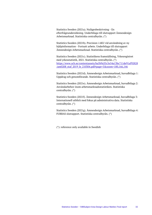Statistics Sweden (2021a). Nulägesbeskrivning - En efterfrågeundersökning. Underbilaga till slutrapport Ämnesdesign Arbetsmarknad. Statistiska centralbyrån. (\*)

Statistics Sweden (2021b). Precision i AKU vid användning av ny hjälpinformation - Fortsatt arbete. Underbilaga till slutrapport Ämnesdesign Arbetsmarknad. Statistiska centralbyrån. (\*)

Statistics Sweden (2021c). [Statistikens framställning, Yrkesregistret](https://scb.se/contentassets/4e625b9324b54e7fa5c4db77cedb7ebc/ov9999_2020a01_br_x99br2001.pdf)  [med yrkesstatistik, 2021.](https://scb.se/contentassets/4e625b9324b54e7fa5c4db77cedb7ebc/ov9999_2020a01_br_x99br2001.pdf) Statistiska centralbyrån. (\*) [https://www.scb.se/contentassets/ba5b9a35c5e54a13bc711de91af92828](https://www.scb.se/contentassets/ba5b9a35c5e54a13bc711de91af92828/am0208_staf_2019_le_210304.pdf#page=5&zoom=100,166,146) /am0208 staf 2019 le 210304.pdf#page=5&zoom=100,166,146

Statistics Sweden (2021d). Ämnesdesign Arbetsmarknad, huvudbilaga 1: Uppdrag och genomförande. Statistiska centralbyrån. (\*)

Statistics Sweden (2021e). Ämnesdesign Arbetsmarknad, huvudbilaga 2: Användarbehov inom arbetsmarknadsstatistiken. Statistiska centralbyrån. (\*)

Statistics Sweden (2021f). Ämnesdesign Arbetsmarknad, huvudbilaga 3: Internationell utblick med fokus på administrativa data. Statistiska centralbyrån. (\*)

Statistics Sweden (2021g). Ämnesdesign Arbetsmarknad, huvudbilaga 4: FURBAS slutrapport. Statistiska centralbyrån. (\*)

(\*): reference only available in Swedish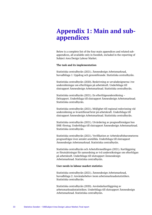# <span id="page-33-0"></span>**Appendix 1: Main and subappendices**

Below is a complete list of the four main appendices and related subappendices, all available only in Swedish, included in the reporting of Subject Area Design Labour Market.

#### **The task and its implementation**

Statistiska centralbyrån (2021). Ämnesdesign Arbetsmarknad, huvudbilaga 1: Uppdrag och genomförande. Statistiska centralbyrån.

Statistiska centralbyrån (2020). Beskrivning av urvalsdesignerna i tre undersökningar om efterfrågan på arbetskraft. Underbilaga till slutrapport Ämnesdesign Arbetsmarknad. Statistiska centralbyrån.

Statistiska centralbyrån (2021). En efterfrågeundersökning – Delrapport. Underbilaga till slutrapport Ämnesdesign Arbetsmarknad. Statistiska centralbyrån.

Statistiska centralbyrån (2021). Möjlighet till regional redovisning vid undersökning av kvantifierad brist på arbetskraft. Underbilaga till slutrapport Ämnesdesign Arbetsmarknad. Statistiska centralbyrån.

Statistiska centralbyrån (2021). Utvärdering av prognosförmågan hos SME-företag. Underbilaga till slutrapport Ämnesdesign Arbetsmarknad. Statistiska centralbyrån.

Statistiska centralbyrån (2021). Verifikation av Arbetskraftsbarometerns prognosfrågor över antalet anställda. Underbilaga till slutrapport Ämnesdesign Arbetsmarknad. Statistiska centralbyrån.

Statistiska centralbyrån och Arbetsförmedlingen (2021). Kartläggning av förutsättningar för samordning av två undersökningar om efterfrågan på arbetskraft. Underbilaga till slutrapport Ämnesdesign Arbetsmarknad. Statistiska centralbyrån.

#### **User needs in labour market statistics**

Statistiska centralbyrån (2021). Ämnesdesign Arbetsmarknad, huvudbilaga 2: Användarbehov inom arbetsmarknadsstatistiken. Statistiska centralbyrån.

Statistiska centralbyrån (2020). Användarkartläggning av arbetsmarknadsstatistiken. Underbilaga till slutrapport Ämnesdesign Arbetsmarknad. Statistiska centralbyrån.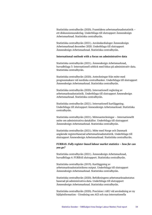Statistiska centralbyrån (2020). Framtidens arbetsmarknadsstatistik – ett diskussionsunderlag. Underbilaga till slutrapport Ämnesdesign Arbetsmarknad. Statistiska centralbyrån.

Statistiska centralbyrån (2021). Användardialoger Ämnesdesign Arbetsmarknad december 2020. Underbilaga till slutrapport Ämnesdesign Arbetsmarknad. Statistiska centralbyrån.

#### **International outlook with a focus on administrative data**

Statistiska centralbyrån (2021). Ämnesdesign Arbetsmarknad, huvudbilaga 3: Internationell utblick med fokus på administrativ data. Statistiska centralbyrån.

Statistiska centralbyrån (2020). Anteckningar från möte med prognosmakare vid nordiska centralbanker. Underbilaga till slutrapport Ämnesdesign Arbetsmarknad. Statistiska centralbyrån.

Statistiska centralbyrån (2020). Internationell reglering av arbetsmarknadsstatistik. Underbilaga till slutrapport Ämnesdesign Arbetsmarknad. Statistiska centralbyrån.

Statistiska centralbyrån (2021). Internationell kartläggning. Underbilaga till slutrapport Ämnesdesign Arbetsmarknad. Statistiska centralbyrån.

Statistiska centralbyrån (2021). Mötesanteckningar – Internationellt möte om administrativa datakällor. Underbilaga till slutrapport Ämnesdesign Arbetsmarknad. Statistiska centralbyrån.

Statistiska centralbyrån (2021). Möte med Norge och Danmark angående registerbaserad arbetsmarknadsstatistik. Underbilaga till slutrapport Ämnesdesign Arbetsmarknad. Statistiska centralbyrån.

#### **FURBAS:** *Fully register-based labour market statistics – how far can you go?*

Statistiska centralbyrån (2021). Ämnesdesign Arbetsmarknad, huvudbilaga 4: FURBAS slutrapport. Statistiska centralbyrån.

Statistiska centralbyrån (2019). Kartläggning av arbetsmarknadsstatistikens output. Underbilaga till slutrapport Ämnesdesign Arbetsmarknad. Statistiska centralbyrån.

Statistiska centralbyrån (2020). Befolkningens arbetsmarknadsstatus baserad på administrativa data. Underbilaga till slutrapport Ämnesdesign Arbetsmarknad. Statistiska centralbyrån.

Statistiska centralbyrån (2020). Precision i AKU vid användning av ny hjälpinformation - Utredning om AGI och nya internationella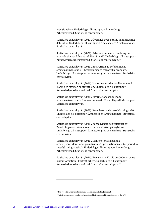precisionskrav. Underbilaga till slutrapport Ämnesdesign Arbetsmarknad. Statistiska centralbyrån.

Statistiska centralbyrån (2020). Överblick över externa administrativa datakällor. Underbilaga till slutrapport Ämnesdesign Arbetsmarknad. Statistiska centralbyrån.

Statistiska centralbyrån (2021). Arbetade timmar – Utredning om arbetade timmar från andra källor än AKU. Underbilaga till slutrapport Ämnesdesign Arbetsmarknad. Statistiska centralbyrån.[16](#page-35-0)

Statistiska centralbyrån (2021). Betaversion av Befolkningens arbetsmarknadsstatus – beskrivning och frågor till användare. Underbilaga till slutrapport Ämnesdesign Arbetsmarknad. Statistiska centralbyrån.

Statistiska centralbyrån (2021). Hantering av arbetsställenummer i RAMS och effekten på statistiken. Underbilaga till slutrapport Ämnesdesign Arbetsmarknad. Statistiska centralbyrån.

Statistiska centralbyrån (2021). Informationsbehov inom arbetsmarknadsstatistiken – ett ramverk. Underbilaga till slutrapport. Statistiska centralbyrån.

Statistiska centralbyrån (2021). Kompletterande sysselsättningsmått. Underbilaga till slutrapport Ämnesdesign Arbetsmarknad. Statistiska centralbyrån.

Statistiska centralbyrån (2021). Konsekvenser och versioner av Befolkningens arbetsmarknadsstatus - effekter på registren. Underbilaga till slutrapport Ämnesdesign Arbetsmarknad. Statistiska centralbyrån.

Statistiska centralbyrån (2021). Möjligheter att använda arbetsgivardeklarationer på individnivå i produktionen av Kortperiodisk sysselsättningsstatistik. Underbilaga till slutrapport Ämnesdesign Arbetsmarknad. Statistiska centralbyrån.

Statistiska centralbyrån (2021). Precision i AKU vid användning av ny hjälpinformation - Fortsatt arbete. Underbilaga till slutrapport Ämnesdesign Arbetsmarknad. Statistiska centralbyrån.[17](#page-35-1)

<span id="page-35-0"></span><sup>&</sup>lt;sup>16</sup> This report is under production and will be completed in June 2021.

<span id="page-35-1"></span><sup>&</sup>lt;sup>17</sup> Note that this report was formally produced in the scope of the production of the LFS.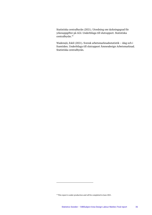Statistiska centralbyrån (2021). Utredning om täckningsgrad för yrkesuppgifter på AGI. Underbilaga till slutrapport. Statistiska centralbyrån.[18](#page-36-0)

Wadensjö, Eskil (2021). Svensk arbetsmarknadsstatistik – idag och i framtiden. Underbilaga till slutrapport Ämnesdesign Arbetsmarknad. Statistiska centralbyrån.

<span id="page-36-0"></span><sup>&</sup>lt;sup>18</sup> This report is under production and will be completed in June 2021.